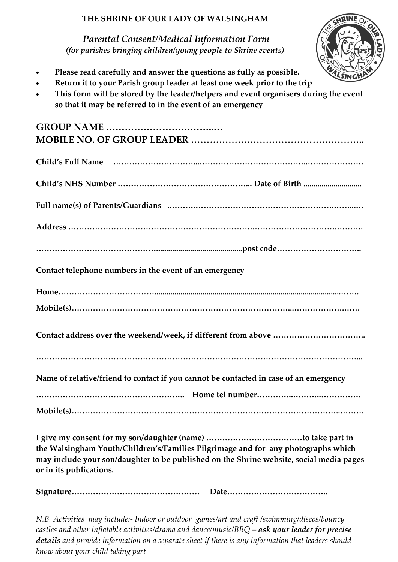## **THE SHRINE OF OUR LADY OF WALSINGHAM**

*Parental Consent/Medical Information Form (for parishes bringing children/young people to Shrine events)*



- **Please read carefully and answer the questions as fully as possible.**
- **Return it to your Parish group leader at least one week prior to the trip**
- **This form will be stored by the leader/helpers and event organisers during the event so that it may be referred to in the event of an emergency**

| Contact telephone numbers in the event of an emergency                                  |
|-----------------------------------------------------------------------------------------|
|                                                                                         |
|                                                                                         |
|                                                                                         |
|                                                                                         |
|                                                                                         |
|                                                                                         |
|                                                                                         |
|                                                                                         |
| Name of relative/friend to contact if you cannot be contacted in case of an emergency   |
|                                                                                         |
|                                                                                         |
|                                                                                         |
|                                                                                         |
|                                                                                         |
| the Walsingham Youth/Children's/Families Pilgrimage and for any photographs which       |
| may include your son/daughter to be published on the Shrine website, social media pages |
| or in its publications.                                                                 |

**Signature………………………………………… Date………………………………..**

*N.B. Activities may include:- Indoor or outdoor games/art and craft /swimming/discos/bouncy castles and other inflatable activities/drama and dance/music/BBQ – ask your leader for precise details and provide information on a separate sheet if there is any information that leaders should know about your child taking part*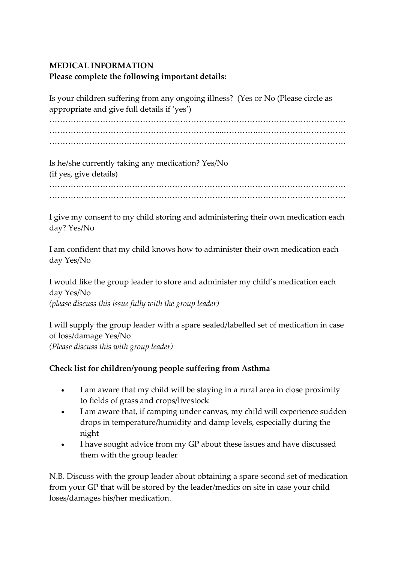## **MEDICAL INFORMATION Please complete the following important details:**

Is your children suffering from any ongoing illness? (Yes or No (Please circle as appropriate and give full details if 'yes') ………………………………………………………………………………………………… ………………………………………………………...………….…………………………… …………………………………………………………………………………………………

Is he/she currently taking any medication? Yes/No (if yes, give details)

………………………………………………………………………………………………… …………………………………………………………………………………………………

I give my consent to my child storing and administering their own medication each day? Yes/No

I am confident that my child knows how to administer their own medication each day Yes/No

I would like the group leader to store and administer my child's medication each day Yes/No *(please discuss this issue fully with the group leader)*

I will supply the group leader with a spare sealed/labelled set of medication in case of loss/damage Yes/No *(Please discuss this with group leader)*

## **Check list for children/young people suffering from Asthma**

- I am aware that my child will be staying in a rural area in close proximity to fields of grass and crops/livestock
- I am aware that, if camping under canvas, my child will experience sudden drops in temperature/humidity and damp levels, especially during the night
- I have sought advice from my GP about these issues and have discussed them with the group leader

N.B. Discuss with the group leader about obtaining a spare second set of medication from your GP that will be stored by the leader/medics on site in case your child loses/damages his/her medication.